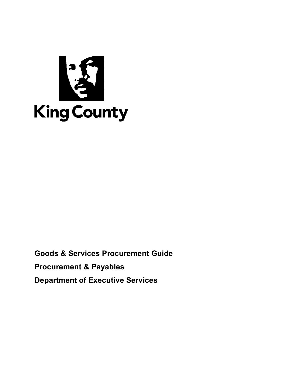

**Goods & Services Procurement Guide Procurement & Payables Department of Executive Services**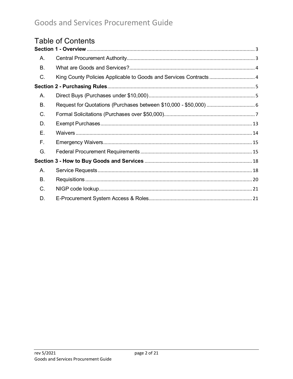# **Table of Contents**

| Α. |                                                                   |  |
|----|-------------------------------------------------------------------|--|
| Β. |                                                                   |  |
| C. | King County Policies Applicable to Goods and Services Contracts 4 |  |
|    |                                                                   |  |
| А. |                                                                   |  |
| В. |                                                                   |  |
| C. |                                                                   |  |
| D. |                                                                   |  |
| Е. |                                                                   |  |
| F. |                                                                   |  |
| G. |                                                                   |  |
|    |                                                                   |  |
| А. |                                                                   |  |
| В. |                                                                   |  |
| C. |                                                                   |  |
| D. |                                                                   |  |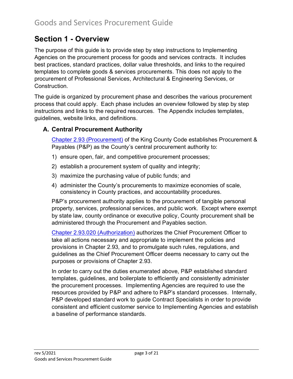# <span id="page-2-0"></span>**Section 1 - Overview**

The purpose of this guide is to provide step by step instructions to Implementing Agencies on the procurement process for goods and services contracts. It includes best practices, standard practices, dollar value thresholds, and links to the required templates to complete goods & services procurements. This does not apply to the procurement of Professional Services, Architectural & Engineering Services, or Construction.

The guide is organized by procurement phase and describes the various procurement process that could apply. Each phase includes an overview followed by step by step instructions and links to the required resources. The Appendix includes templates, guidelines, website links, and definitions.

## <span id="page-2-1"></span>**A. Central Procurement Authority**

[Chapter 2.93 \(Procurement\)](https://www.kingcounty.gov/council/legislation/kc_code/05_Title_2.aspx) of the King County Code establishes Procurement & Payables (P&P) as the County's central procurement authority to:

- 1) ensure open, fair, and competitive procurement processes;
- 2) establish a procurement system of quality and integrity;
- 3) maximize the purchasing value of public funds; and
- 4) administer the County's procurements to maximize economies of scale, consistency in County practices, and accountability procedures.

P&P's procurement authority applies to the procurement of tangible personal property, services, professional services, and public work. Except where exempt by state law, county ordinance or executive policy, County procurement shall be administered through the Procurement and Payables section.

[Chapter 2.93.020 \(Authorization\)](https://www.kingcounty.gov/council/legislation/kc_code/05_Title_2.aspx) authorizes the Chief Procurement Officer to take all actions necessary and appropriate to implement the policies and provisions in Chapter 2.93, and to promulgate such rules, regulations, and guidelines as the Chief Procurement Officer deems necessary to carry out the purposes or provisions of Chapter 2.93.

In order to carry out the duties enumerated above, P&P established standard templates, guidelines, and boilerplate to efficiently and consistently administer the procurement processes. Implementing Agencies are required to use the resources provided by P&P and adhere to P&P's standard processes. Internally, P&P developed standard work to guide Contract Specialists in order to provide consistent and efficient customer service to Implementing Agencies and establish a baseline of performance standards.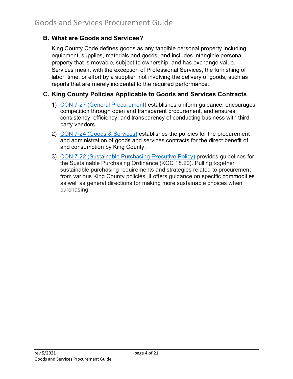## <span id="page-3-0"></span>**B. What are Goods and Services?**

King County Code defines goods as any tangible personal property including equipment, supplies, materials and goods, and includes intangible personal property that is movable, subject to ownership, and has exchange value. Services mean, with the exception of Professional Services, the furnishing of labor, time, or effort by a supplier, not involving the delivery of goods, such as reports that are merely incidental to the required performance.

## <span id="page-3-1"></span>**C. King County Policies Applicable to Goods and Services Contracts**

- 1) [CON 7-27 \(General Procurement\)](https://kingcounty.gov/%7E/media/operations/policies/documents/CON_7-27_Procurement_for_All_Policylink.ashx?la=en) establishes uniform guidance, encourages competition through open and transparent procurement, and ensures consistency, efficiency, and transparency of conducting business with thirdparty vendors.
- 2) CON 7-24 [\(Goods & Services\)](https://kingcounty.gov/%7E/media/operations/policies/documents/CON-_7-24-EPGoods_and_Serviceslink.ashx?la=en) establishes the policies for the procurement and administration of goods and services contracts for the direct benefit of and consumption by King County.
- 3) CON 7-22 [\(Sustainable Purchasing Executive Policy\)](https://kingcounty.gov/about/policies/aep/contractingaep/con722ep.aspx) provides guidelines for the Sustainable Purchasing Ordinance (KCC 18.20). Pulling together sustainable purchasing requirements and strategies related to procurement from various King County policies, it offers guidance on specific commodities as well as general directions for making more sustainable choices when purchasing.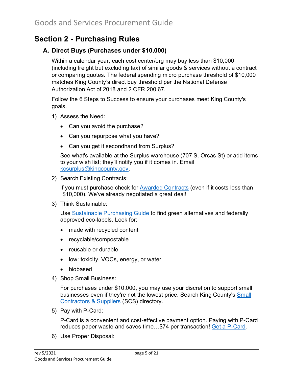# <span id="page-4-0"></span>**Section 2 - Purchasing Rules**

## <span id="page-4-1"></span>**A. Direct Buys (Purchases under \$10,000)**

Within a calendar year, each cost center/org may buy less than \$10,000 (including freight but excluding tax) of similar goods & services without a contract or comparing quotes. The federal spending micro purchase threshold of \$10,000 matches King County's direct buy threshold per the National Defense Authorization Act of 2018 and 2 CFR 200.67.

Follow the 6 Steps to Success to ensure your purchases meet King County's goals.

- 1) Assess the Need:
	- Can you avoid the purchase?
	- Can you repurpose what you have?
	- Can you get it secondhand from Surplus?

See what's available at the Surplus warehouse (707 S. Orcas St) or add items to your wish list; they'll notify you if it comes in. Email [kcsurplus@kingcounty.gov.](mailto:kcsurplus@kingcounty.gov)

2) Search Existing Contracts:

If you must purchase check for [Awarded Contracts](https://www.kingcounty.gov/depts/finance-business-operations/procurement/for-government/awarded-contracts.aspx) (even if it costs less than \$10,000). We've already negotiated a great deal!

3) Think Sustainable:

Use [Sustainable Purchasing Guide](https://www.kingcounty.gov/depts/finance-business-operations/procurement/for-government/environmental-purchasing/Purchasing_Guide.aspx) to find green alternatives and federally approved eco-labels. Look for:

- made with recycled content
- recyclable/compostable
- reusable or durable
- low: toxicity, VOCs, energy, or water
- biobased
- 4) Shop Small Business:

For purchases under \$10,000, you may use your discretion to support small businesses even if they're not the lowest price. Search King County's [Small](https://kingcounty.diversitycompliance.com/)  [Contractors & Suppliers](https://kingcounty.diversitycompliance.com/) (SCS) directory.

5) Pay with P-Card:

P-Card is a convenient and cost-effective payment option. Paying with P-Card reduces paper waste and saves time…\$74 per transaction! [Get a P-Card.](https://www.kingcounty.gov/depts/finance-business-operations/procurement/for-government/pcards.aspx)

6) Use Proper Disposal: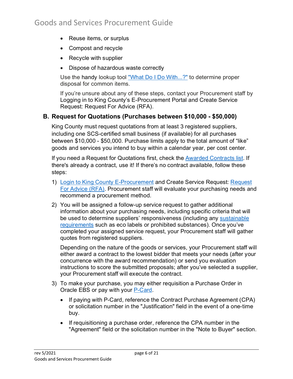- Reuse items, or surplus
- Compost and recycle
- Recycle with supplier
- Dispose of hazardous waste correctly

Use the handy lookup tool ["What Do I Do With...?"](https://info.kingcounty.gov/Services/recycling-garbage/Solid-Waste/what-do-i-do-with/) to determine proper disposal for common items.

If you're unsure about any of these steps, contact your Procurement staff by [Logging in to King County's](https://fa-epvh-saasfaprod1.fa.ocs.oraclecloud.com/fscmUI/faces/FuseWelcome) E-Procurement Portal and Create Service Request: [Request For Advice \(RFA\).](https://www.kingcounty.gov/depts/finance-business-operations/procurement/for-government/service-requests/new-solicitation.aspx)

### <span id="page-5-0"></span>**B. Request for Quotations (Purchases between \$10,000 - \$50,000)**

King County must request quotations from at least 3 registered suppliers, including one SCS-certified small business (if available) for all purchases between \$10,000 - \$50,000. Purchase limits apply to the total amount of "like" goods and services you intend to buy within a calendar year, per cost center.

If you need a Request for Quotations first, check the [Awarded Contracts list.](https://www.kingcounty.gov/depts/finance-business-operations/procurement/for-government/awarded-contracts.aspx) If there's already a contract, use it! If there's no contract available, follow these steps:

- 1) [Login to King County E-Procurement](https://fa-epvh-saasfaprod1.fa.ocs.oraclecloud.com/fscmUI/faces/FuseWelcome) and Create Service Request: [Request](https://www.kingcounty.gov/depts/finance-business-operations/procurement/for-government/service-requests/new-solicitation.aspx)  [For Advice \(RFA\).](https://www.kingcounty.gov/depts/finance-business-operations/procurement/for-government/service-requests/new-solicitation.aspx) Procurement staff will evaluate your purchasing needs and recommend a procurement method.
- 2) You will be assigned a follow-up service request to gather additional information about your purchasing needs, including specific criteria that will be used to determine suppliers' responsiveness (including any [sustainable](https://www.kingcounty.gov/depts/finance-business-operations/procurement/for-government/environmental-purchasing.aspx)  [requirements](https://www.kingcounty.gov/depts/finance-business-operations/procurement/for-government/environmental-purchasing.aspx) such as eco labels or prohibited substances). Once you've completed your assigned service request, your Procurement staff will gather quotes from registered suppliers.

Depending on the nature of the goods or services, your Procurement staff will either award a contract to the lowest bidder that meets your needs (after your concurrence with the award recommendation) or send you evaluation instructions to score the submitted proposals; after you've selected a supplier, your Procurement staff will execute the contract.

- 3) To make your purchase, you may either requisition a Purchase Order in Oracle EBS or pay with your [P-Card.](https://www.kingcounty.gov/depts/finance-business-operations/procurement/for-government/pcards.aspx)
	- If paying with P-Card, reference the Contract Purchase Agreement (CPA) or solicitation number in the "Justification" field in the event of a one-time buy.
	- If requisitioning a purchase order, reference the CPA number in the "Agreement" field or the solicitation number in the "Note to Buyer" section.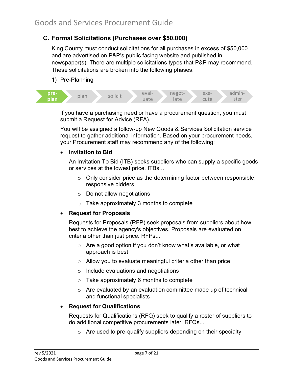### <span id="page-6-0"></span>**C. Formal Solicitations (Purchases over \$50,000)**

King County must conduct solicitations for all purchases in excess of \$50,000 and are advertised on P&P's public facing website and published in newspaper(s). There are multiple solicitations types that P&P may recommend. These solicitations are broken into the following phases:

1) Pre-Planning



If you have a purchasing need or have a procurement question, you must submit a Request for Advice (RFA).

You will be assigned a follow-up New Goods & Services Solicitation service request to gather additional information. Based on your procurement needs, your Procurement staff may recommend any of the following:

#### • **Invitation to Bid**

An Invitation To Bid (ITB) seeks suppliers who can supply a specific goods or services at the lowest price. ITBs...

- $\circ$  Only consider price as the determining factor between responsible, responsive bidders
- o Do not allow negotiations
- o Take approximately 3 months to complete

#### • **Request for Proposals**

Requests for Proposals (RFP) seek proposals from suppliers about how best to achieve the agency's objectives. Proposals are evaluated on criteria other than just price. RFPs...

- o Are a good option if you don't know what's available, or what approach is best
- o Allow you to evaluate meaningful criteria other than price
- o Include evaluations and negotiations
- o Take approximately 6 months to complete
- o Are evaluated by an evaluation committee made up of technical and functional specialists

#### • **Request for Qualifications**

Requests for Qualifications (RFQ) seek to qualify a roster of suppliers to do additional competitive procurements later. RFQs...

 $\circ$  Are used to pre-qualify suppliers depending on their specialty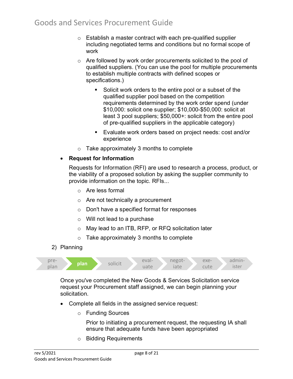- $\circ$  Establish a master contract with each pre-qualified supplier including negotiated terms and conditions but no formal scope of work
- $\circ$  Are followed by work order procurements solicited to the pool of qualified suppliers. (You can use the pool for multiple procurements to establish multiple contracts with defined scopes or specifications.)
	- Solicit work orders to the entire pool or a subset of the qualified supplier pool based on the competition requirements determined by the work order spend (under \$10,000: solicit one supplier; \$10,000-\$50,000: solicit at least 3 pool suppliers; \$50,000+: solicit from the entire pool of pre-qualified suppliers in the applicable category)
	- Evaluate work orders based on project needs: cost and/or experience
- o Take approximately 3 months to complete

#### • **Request for Information**

Requests for Information (RFI) are used to research a process, product, or the viability of a proposed solution by asking the supplier community to provide information on the topic. RFIs...

- o Are less formal
- o Are not technically a procurement
- o Don't have a specified format for responses
- o Will not lead to a purchase
- o May lead to an ITB, RFP, or RFQ solicitation later
- o Take approximately 3 months to complete
- 2) Planning



Once you've completed the New Goods & Services Solicitation service request your Procurement staff assigned, we can begin planning your solicitation.

- Complete all fields in the assigned service request:
	- o Funding Sources

Prior to initiating a procurement request, the requesting IA shall ensure that adequate funds have been appropriated

o Bidding Requirements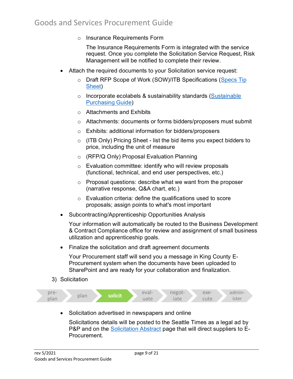o Insurance Requirements Form

The Insurance Requirements Form is integrated with the service request. Once you complete the Solicitation Service Request, Risk Management will be notified to complete their review.

- Attach the required documents to your Solicitation service request:
	- o Draft RFP Scope of Work (SOW)/ITB Specifications (Specs Tip [Sheet\)](https://www.kingcounty.gov/%7E/media/depts/finance/procurement/Documents/10_ways_to_write_better_goods-services_specs.ashx?la=en)
	- o Incorporate ecolabels & sustainability standards (Sustainable [Purchasing Guide\)](https://www.kingcounty.gov/depts/finance-business-operations/procurement/for-government/environmental-purchasing/Purchasing_Guide.aspx)
	- o Attachments and Exhibits
	- o Attachments: documents or forms bidders/proposers must submit
	- o Exhibits: additional information for bidders/proposers
	- o (ITB Only) Pricing Sheet list the bid items you expect bidders to price, including the unit of measure
	- o (RFP/Q Only) Proposal Evaluation Planning
	- o Evaluation committee: identify who will review proposals (functional, technical, and end user perspectives, etc.)
	- $\circ$  Proposal questions: describe what we want from the proposer (narrative response, Q&A chart, etc.)
	- o Evaluation criteria: define the qualifications used to score proposals; assign points to what's most important
- Subcontracting/Apprenticeship Opportunities Analysis

Your information will automatically be routed to the Business Development & Contract Compliance office for review and assignment of small business utilization and apprenticeship goals.

• Finalize the solicitation and draft agreement documents

Your Procurement staff will send you a message in King County E-Procurement system when the documents have been uploaded to SharePoint and are ready for your collaboration and finalization.

3) Solicitation



• Solicitation advertised in newspapers and online

Solicitations details will be posted to the Seattle Times as a legal ad by P&P and on the [Solicitation](https://gcc01.safelinks.protection.outlook.com/?url=https%3A%2F%2Ffa-epvh-saasfaprod1.fa.ocs.oraclecloud.com%2FfscmUI%2Ffaces%2FNegotiationAbstracts%3FprcBuId%3D300000001727151&data=04%7C01%7Cgjustiniano%40kingcounty.gov%7C1e78bb0966e54b68cc7508d8791acfb7%7Cbae5059a76f049d7999672dfe95d69c7%7C0%7C0%7C637392503345137866%7CUnknown%7CTWFpbGZsb3d8eyJWIjoiMC4wLjAwMDAiLCJQIjoiV2luMzIiLCJBTiI6Ik1haWwiLCJXVCI6Mn0%3D%7C1000&sdata=%2Bb9pU8rBmj19cvmeLp57nMCu9U6Vngo2tVv45OPvULM%3D&reserved=0) Abstract page that will direct suppliers to E-**Procurement**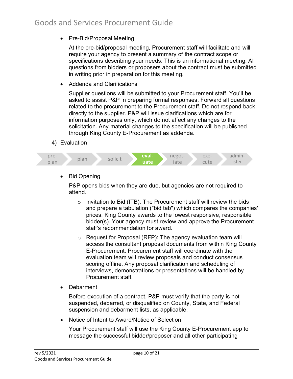• Pre-Bid/Proposal Meeting

At the pre-bid/proposal meeting, Procurement staff will facilitate and will require your agency to present a summary of the contract scope or specifications describing your needs. This is an informational meeting. All questions from bidders or proposers about the contract must be submitted in writing prior in preparation for this meeting.

• Addenda and Clarifications

Supplier questions will be submitted to your Procurement staff. You'll be asked to assist P&P in preparing formal responses. Forward all questions related to the procurement to the Procurement staff. Do not respond back directly to the supplier. P&P will issue clarifications which are for information purposes only, which do not affect any changes to the solicitation. Any material changes to the specification will be published through King County E-Procurement as addenda.

4) Evaluation



• Bid Opening

P&P opens bids when they are due, but agencies are not required to attend.

- $\circ$  Invitation to Bid (ITB): The Procurement staff will review the bids and prepare a tabulation ("bid tab") which compares the companies' prices. King County awards to the lowest responsive, responsible bidder(s). Your agency must review and approve the Procurement staff's recommendation for award.
- o Request for Proposal (RFP): The agency evaluation team will access the consultant proposal documents from within King County E-Procurement. Procurement staff will coordinate with the evaluation team will review proposals and conduct consensus scoring offline. Any proposal clarification and scheduling of interviews, demonstrations or presentations will be handled by Procurement staff.
- Debarment

Before execution of a contract, P&P must verify that the party is not suspended, debarred, or disqualified on County, State, and Federal suspension and debarment lists, as applicable.

• Notice of Intent to Award/Notice of Selection

Your Procurement staff will use the King County E-Procurement app to message the successful bidder/proposer and all other participating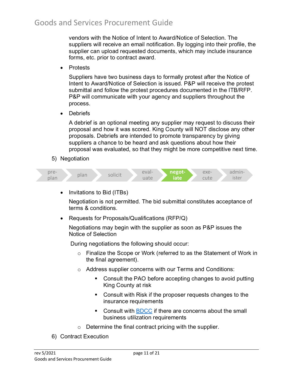vendors with the Notice of Intent to Award/Notice of Selection. The suppliers will receive an email notification. By logging into their profile, the supplier can upload requested documents, which may include insurance forms, etc. prior to contract award.

• Protests

Suppliers have two business days to formally protest after the Notice of Intent to Award/Notice of Selection is issued. P&P will receive the protest submittal and follow the protest procedures documented in the ITB/RFP. P&P will communicate with your agency and suppliers throughout the process.

• Debriefs

A debrief is an optional meeting any supplier may request to discuss their proposal and how it was scored. King County will NOT disclose any other proposals. Debriefs are intended to promote transparency by giving suppliers a chance to be heard and ask questions about how their proposal was evaluated, so that they might be more competitive next time.

5) Negotiation



• Invitations to Bid (ITBs)

Negotiation is not permitted. The bid submittal constitutes acceptance of terms & conditions.

• Requests for Proposals/Qualifications (RFP/Q)

Negotiations may begin with the supplier as soon as P&P issues the Notice of Selection

During negotiations the following should occur:

- $\circ$  Finalize the Scope or Work (referred to as the Statement of Work in the final agreement).
- o Address supplier concerns with our Terms and Conditions:
	- Consult the PAO before accepting changes to avoid putting King County at risk
	- **Consult with Risk if the proposer requests changes to the** insurance requirements
	- Consult with [BDCC](https://www.kingcounty.gov/depts/finance-business-operations/business-development-contract-compliance.aspx) if there are concerns about the small business utilization requirements
- $\circ$  Determine the final contract pricing with the supplier.
- 6) Contract Execution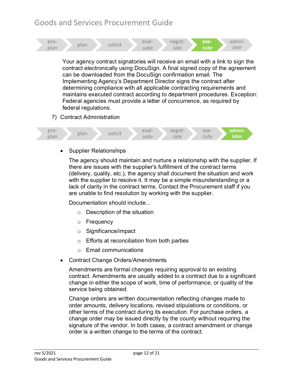



• Supplier Relationships

The agency should maintain and nurture a relationship with the supplier. If there are issues with the supplier's fulfillment of the contract terms (delivery, quality, etc.), the agency shall document the situation and work with the supplier to resolve it. It may be a simple misunderstanding or a lack of clarity in the contract terms. Contact the Procurement staff if you are unable to find resolution by working with the supplier.

Documentation should include...

- o Description of the situation
- o Frequency
- o Significance/impact
- o Efforts at reconciliation from both parties
- o Email communications
- Contract Change Orders/Amendments

Amendments are formal changes requiring approval to an existing contract. Amendments are usually added to a contract due to a significant change in either the scope of work, time of performance, or quality of the service being obtained.

Change orders are written documentation reflecting changes made to order amounts, delivery locations, revised stipulations or conditions, or other terms of the contract during its execution. For purchase orders, a change order may be issued directly by the county without requiring the signature of the vendor. In both cases, a contract amendment or change order is a written change to the terms of the contract.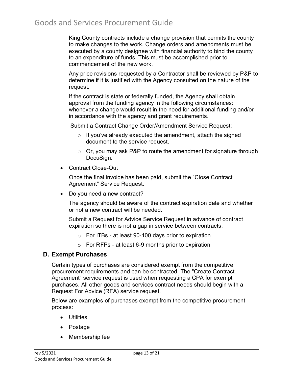King County contracts include a change provision that permits the county to make changes to the work. Change orders and amendments must be executed by a county designee with financial authority to bind the county to an expenditure of funds. This must be accomplished prior to commencement of the new work.

Any price revisions requested by a Contractor shall be reviewed by P&P to determine if it is justified with the Agency consulted on the nature of the request.

If the contract is state or federally funded, the Agency shall obtain approval from the funding agency in the following circumstances: whenever a change would result in the need for additional funding and/or in accordance with the agency and grant requirements.

Submit a Contract Change Order/Amendment Service Request:

- $\circ$  If you've already executed the amendment, attach the signed document to the service request.
- $\circ$  Or, you may ask P&P to route the amendment for signature through DocuSign.
- Contract Close-Out

Once the final invoice has been paid, submit the "Close Contract Agreement" Service Request.

• Do you need a new contract?

The agency should be aware of the contract expiration date and whether or not a new contract will be needed.

Submit a Request for Advice Service Request in advance of contract expiration so there is not a gap in service between contracts.

- $\circ$  For ITBs at least 90-100 days prior to expiration
- o For RFPs at least 6-9 months prior to expiration

### <span id="page-12-0"></span>**D. Exempt Purchases**

Certain types of purchases are considered exempt from the competitive procurement requirements and can be contracted. The "Create Contract Agreement" service request is used when requesting a CPA for exempt purchases. All other goods and services contract needs should begin with a Request For Advice (RFA) service request.

Below are examples of purchases exempt from the competitive procurement process:

- Utilities
- Postage
- Membership fee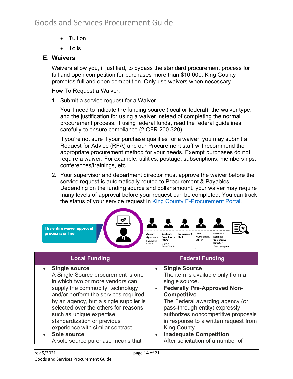- Tuition
- Tolls

### <span id="page-13-0"></span>**E. Waivers**

Waivers allow you, if justified, to bypass the standard procurement process for full and open competition for purchases more than \$10,000. King County promotes full and open competition. Only use waivers when necessary.

How To Request a Waiver:

1. Submit a service request for a Waiver.

You'll need to indicate the funding source (local or federal), the waiver type, and the justification for using a waiver instead of completing the normal procurement process. If using federal funds, read the federal guidelines carefully to ensure compliance (2 CFR 200.320).

If you're not sure if your purchase qualifies for a waiver, you may submit a Request for Advice (RFA) and our Procurement staff will recommend the appropriate procurement method for your needs. Exempt purchases do not require a waiver. For example: utilities, postage, subscriptions, memberships, conferences/trainings, etc.

2. Your supervisor and department director must approve the waiver before the service request is automatically routed to Procurement & Payables. Depending on the funding source and dollar amount, your waiver may require many levels of approval before your request can be completed. You can track the status of your service request in [King County E-Procurement Portal.](https://fa-epvh-saasfaprod1.fa.ocs.oraclecloud.com/hcmUI/faces/FuseWelcome)



- in which two or more vendors can supply the commodity, technology and/or perform the services required by an agency, but a single supplier is selected over the others for reasons such as unique expertise, standardization or previous experience with similar contract • **Sole source**
- A sole source purchase means that

single source. • **Federally Pre-Approved Non-Competitive**

The Federal awarding agency (or pass-through entity) expressly authorizes noncompetitive proposals in response to a written request from King County.

• **Inadequate Competition** After solicitation of a number of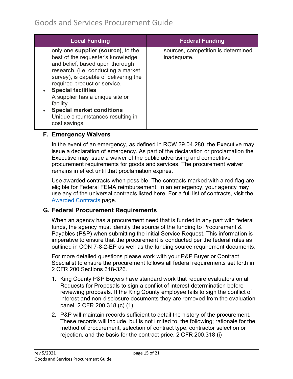| <b>Local Funding</b>                                                                                                                                                                                                                                                                                                                                                                       | <b>Federal Funding</b>                            |
|--------------------------------------------------------------------------------------------------------------------------------------------------------------------------------------------------------------------------------------------------------------------------------------------------------------------------------------------------------------------------------------------|---------------------------------------------------|
| only one supplier (source), to the<br>best of the requester's knowledge<br>and belief, based upon thorough<br>research, (i.e. conducting a market<br>survey), is capable of delivering the<br>required product or service.<br>• Special facilities<br>A supplier has a unique site or<br>facility<br><b>Special market conditions</b><br>Unique circumstances resulting in<br>cost savings | sources, competition is determined<br>inadequate. |

### <span id="page-14-0"></span>**F. Emergency Waivers**

In the event of an emergency, as defined in RCW 39.04.280, the Executive may issue a declaration of emergency. As part of the declaration or proclamation the Executive may issue a waiver of the public advertising and competitive procurement requirements for goods and services. The procurement waiver remains in effect until that proclamation expires.

Use awarded contracts when possible. The contracts marked with a red flag are eligible for Federal FEMA reimbursement. In an emergency, your agency may use any of the universal contracts listed here. For a full list of contracts, visit the [Awarded Contracts](https://kingcounty.gov/procurement/contracts) page.

### <span id="page-14-1"></span>**G. Federal Procurement Requirements**

When an agency has a procurement need that is funded in any part with federal funds, the agency must identify the source of the funding to Procurement & Payables (P&P) when submitting the initial Service Request. This information is imperative to ensure that the procurement is conducted per the federal rules as outlined in CON 7-8-2-EP as well as the funding source requirement documents.

For more detailed questions please work with your P&P Buyer or Contract Specialist to ensure the procurement follows all federal requirements set forth in 2 CFR 200 Sections 318-326.

- 1. King County P&P Buyers have standard work that require evaluators on all Requests for Proposals to sign a conflict of interest determination before reviewing proposals. If the King County employee fails to sign the conflict of interest and non-disclosure documents they are removed from the evaluation panel. 2 CFR 200.318 (c) (1)
- 2. P&P will maintain records sufficient to detail the history of the procurement. These records will include, but is not limited to, the following; rationale for the method of procurement, selection of contract type, contractor selection or rejection, and the basis for the contract price. 2 CFR 200.318 (i)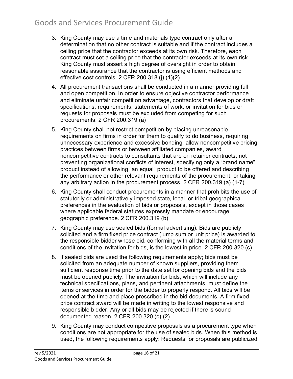- 3. King County may use a time and materials type contract only after a determination that no other contract is suitable and if the contract includes a ceiling price that the contractor exceeds at its own risk. Therefore, each contract must set a ceiling price that the contractor exceeds at its own risk. King County must assert a high degree of oversight in order to obtain reasonable assurance that the contractor is using efficient methods and effective cost controls. 2 CFR 200.318 (j) (1)(2)
- 4. All procurement transactions shall be conducted in a manner providing full and open competition. In order to ensure objective contractor performance and eliminate unfair competition advantage, contractors that develop or draft specifications, requirements, statements of work, or invitation for bids or requests for proposals must be excluded from competing for such procurements. 2 CFR 200.319 (a)
- 5. King County shall not restrict competition by placing unreasonable requirements on firms in order for them to qualify to do business, requiring unnecessary experience and excessive bonding, allow noncompetitive pricing practices between firms or between affiliated companies, award noncompetitive contracts to consultants that are on retainer contracts, not preventing organizational conflicts of interest, specifying only a "brand name" product instead of allowing "an equal" product to be offered and describing the performance or other relevant requirements of the procurement, or taking any arbitrary action in the procurement process. 2 CFR 200.319 (a) (1-7)
- 6. King County shall conduct procurements in a manner that prohibits the use of statutorily or administratively imposed state, local, or tribal geographical preferences in the evaluation of bids or proposals, except in those cases where applicable federal statutes expressly mandate or encourage geographic preference. 2 CFR 200.319 (b)
- 7. King County may use sealed bids (formal advertising). Bids are publicly solicited and a firm fixed price contract (lump sum or unit price) is awarded to the responsible bidder whose bid, conforming with all the material terms and conditions of the invitation for bids, is the lowest in price. 2 CFR 200.320 (c)
- 8. If sealed bids are used the following requirements apply; bids must be solicited from an adequate number of known suppliers, providing them sufficient response time prior to the date set for opening bids and the bids must be opened publicly. The invitation for bids, which will include any technical specifications, plans, and pertinent attachments, must define the items or services in order for the bidder to properly respond. All bids will be opened at the time and place prescribed in the bid documents. A firm fixed price contract award will be made in writing to the lowest responsive and responsible bidder. Any or all bids may be rejected if there is sound documented reason. 2 CFR 200.320 (c) (2)
- 9. King County may conduct competitive proposals as a procurement type when conditions are not appropriate for the use of sealed bids. When this method is used, the following requirements apply: Requests for proposals are publicized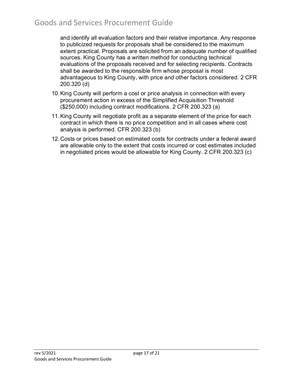and identify all evaluation factors and their relative importance. Any response to publicized requests for proposals shall be considered to the maximum extent practical. Proposals are solicited from an adequate number of qualified sources. King County has a written method for conducting technical evaluations of the proposals received and for selecting recipients. Contracts shall be awarded to the responsible firm whose proposal is most advantageous to King County, with price and other factors considered. 2 CFR 200.320 (d)

- 10.King County will perform a cost or price analysis in connection with every procurement action in excess of the Simplified Acquisition Threshold (\$250,000) including contract modifications. 2 CFR 200.323 (a)
- 11.King County will negotiate profit as a separate element of the price for each contract in which there is no price competition and in all cases where cost analysis is performed. CFR 200.323 (b)
- 12. Costs or prices based on estimated costs for contracts under a federal award are allowable only to the extent that costs incurred or cost estimates included in negotiated prices would be allowable for King County. 2 CFR 200.323 (c)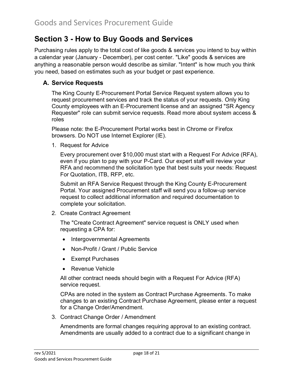# <span id="page-17-0"></span>**Section 3 - How to Buy Goods and Services**

Purchasing rules apply to the total cost of like goods & services you intend to buy within a calendar year (January - December), per cost center. "Like" goods & services are anything a reasonable person would describe as similar. "Intent" is how much you think you need, based on estimates such as your budget or past experience.

### <span id="page-17-1"></span>**A. Service Requests**

The King County E-Procurement Portal Service Request system allows you to request procurement services and track the status of your requests. Only King County employees with an E-Procurement license and an assigned "SR Agency Requester" role can submit service requests. Read more about system access & roles

Please note: the E-Procurement Portal works best in Chrome or Firefox browsers. Do NOT use Internet Explorer (IE).

1. Request for Advice

Every procurement over \$10,000 must start with a Request For Advice (RFA), even if you plan to pay with your P-Card. Our expert staff will review your RFA and recommend the solicitation type that best suits your needs: Request For Quotation, ITB, RFP, etc.

Submit an RFA Service Request through the King County E-Procurement Portal. Your assigned Procurement staff will send you a follow-up service request to collect additional information and required documentation to complete your solicitation.

2. Create Contract Agreement

The "Create Contract Agreement" service request is ONLY used when requesting a CPA for:

- Intergovernmental Agreements
- Non-Profit / Grant / Public Service
- Exempt Purchases
- Revenue Vehicle

All other contract needs should begin with a Request For Advice (RFA) service request.

CPAs are noted in the system as Contract Purchase Agreements. To make changes to an existing Contract Purchase Agreement, please enter a request for a Change Order/Amendment.

3. Contract Change Order / Amendment

Amendments are formal changes requiring approval to an existing contract. Amendments are usually added to a contract due to a significant change in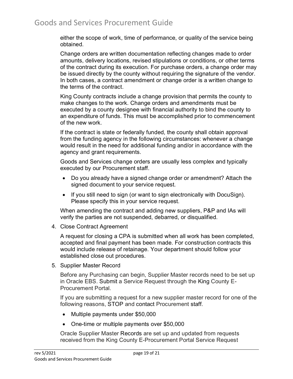either the scope of work, time of performance, or quality of the service being obtained.

Change orders are written documentation reflecting changes made to order amounts, delivery locations, revised stipulations or conditions, or other terms of the contract during its execution. For purchase orders, a change order may be issued directly by the county without requiring the signature of the vendor. In both cases, a contract amendment or change order is a written change to the terms of the contract.

King County contracts include a change provision that permits the county to make changes to the work. Change orders and amendments must be executed by a county designee with financial authority to bind the county to an expenditure of funds. This must be accomplished prior to commencement of the new work.

If the contract is state or federally funded, the county shall obtain approval from the funding agency in the following circumstances: whenever a change would result in the need for additional funding and/or in accordance with the agency and grant requirements.

Goods and Services change orders are usually less complex and typically executed by our Procurement staff.

- Do you already have a signed change order or amendment? Attach the signed document to your service request.
- If you still need to sign (or want to sign electronically with DocuSign). Please specify this in your service request.

When amending the contract and adding new suppliers, P&P and IAs will verify the parties are not suspended, debarred, or disqualified.

4. Close Contract Agreement

A request for closing a CPA is submitted when all work has been completed, accepted and final payment has been made. For construction contracts this would include release of retainage. Your department should follow your established close out procedures.

5. Supplier Master Record

Before any Purchasing can begin, Supplier Master records need to be set up in Oracle EBS. Submit a Service Request through the King County E-Procurement Portal.

If you are submitting a request for a new supplier master record for one of the following reasons, STOP and contact Procurement staff.

- Multiple payments under \$50,000
- One-time or multiple payments over \$50,000

Oracle Supplier Master Records are set up and updated from requests received from the King County E-Procurement Portal Service Request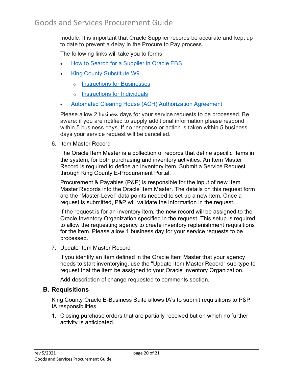module. It is important that Oracle Supplier records be accurate and kept up to date to prevent a delay in the Procure to Pay process.

The following links will take you to forms:

- [How to Search for a Supplier in Oracle EBS](https://aqua.kingcounty.gov/procurement/documents/supplier-inquiry.pdf)
- [King County Substitute W9](https://www.kingcounty.gov/%7E/media/depts/finance/procurement/forms/KC-W9.ashx?la=en)
	- o [Instructions for Businesses](https://www.kingcounty.gov/%7E/media/depts/finance/procurement/forms/KC-W9_Instructions_for_Business.ashx?la=en)
	- o [Instructions for Individuals](https://www.kingcounty.gov/%7E/media/depts/finance/procurement/forms/KC-W9_Instructions_for_Individuals.ashx?la=en)
- [Automated Clearing House \(ACH\) Authorization Agreement](https://kc1.sharepoint.com/:b:/r/sites/DES/FBOD/procurement/Documents/documents/ACH.pdf)

Please allow 2 business days for your service requests to be processed. Be aware: if you are notified to supply additional information please respond within 5 business days. If no response or action is taken within 5 business days your service request will be cancelled.

6. Item Master Record

The Oracle Item Master is a collection of records that define specific items in the system, for both purchasing and inventory activities. An Item Master Record is required to define an inventory item. Submit a Service Request through King County E-Procurement Portal.

Procurement & Payables (P&P) is responsible for the input of new Item Master Records into the Oracle Item Master. The details on this request form are the "Master-Level" data points needed to set up a new item. Once a request is submitted, P&P will validate the information in the request.

If the request is for an inventory item, the new record will be assigned to the Oracle Inventory Organization specified in the request. This setup is required to allow the requesting agency to create inventory replenishment requisitions for the item. Please allow 1 business day for your service requests to be processed.

7. Update Item Master Record

If you identify an item defined in the Oracle Item Master that your agency needs to start inventorying, use the "Update Item Master Record" sub-type to request that the item be assigned to your Oracle Inventory Organization.

Add description of change requested to comments section.

#### <span id="page-19-0"></span>**B. Requisitions**

King County Oracle E-Business Suite allows IA's to submit requisitions to P&P. IA responsibilities:

1. Closing purchase orders that are partially received but on which no further activity is anticipated.